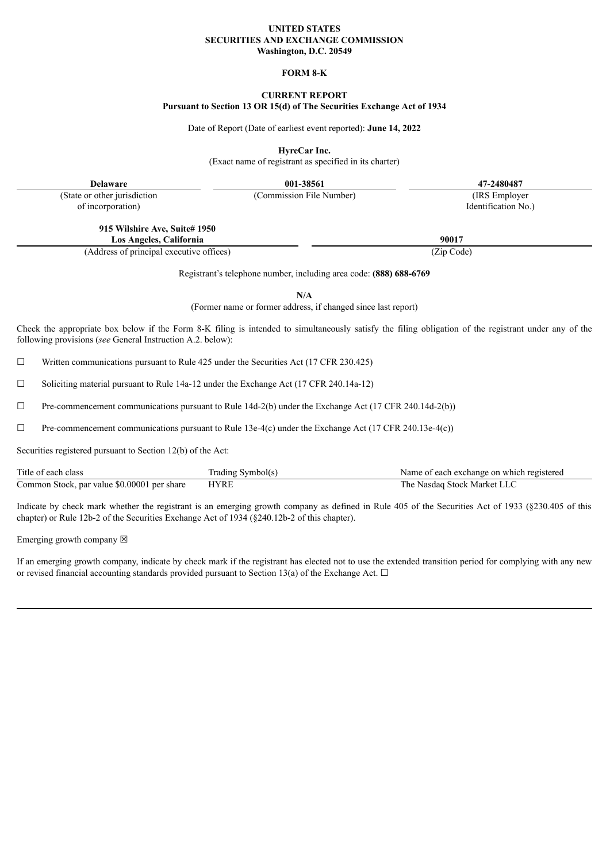#### **UNITED STATES SECURITIES AND EXCHANGE COMMISSION Washington, D.C. 20549**

### **FORM 8-K**

## **CURRENT REPORT**

#### **Pursuant to Section 13 OR 15(d) of The Securities Exchange Act of 1934**

Date of Report (Date of earliest event reported): **June 14, 2022**

**HyreCar Inc.**

(Exact name of registrant as specified in its charter)

**Delaware 001-38561 47-2480487**

(State or other jurisdiction of incorporation)

> **915 Wilshire Ave, Suite# 1950 Los Angeles, California 90017**

(Address of principal executive offices) (Zip Code)

Registrant's telephone number, including area code: **(888) 688-6769**

**N/A**

(Former name or former address, if changed since last report)

Check the appropriate box below if the Form 8-K filing is intended to simultaneously satisfy the filing obligation of the registrant under any of the following provisions (*see* General Instruction A.2. below):

☐ Written communications pursuant to Rule 425 under the Securities Act (17 CFR 230.425)

☐ Soliciting material pursuant to Rule 14a-12 under the Exchange Act (17 CFR 240.14a-12)

 $\Box$  Pre-commencement communications pursuant to Rule 14d-2(b) under the Exchange Act (17 CFR 240.14d-2(b))

 $\Box$  Pre-commencement communications pursuant to Rule 13e-4(c) under the Exchange Act (17 CFR 240.13e-4(c))

Securities registered pursuant to Section 12(b) of the Act:

| Title of each<br>class                      | Symbol(s)<br>rading | Name of each exchange on which registered |
|---------------------------------------------|---------------------|-------------------------------------------|
| Common Stock, par value \$0.00001 per share | HYRE                | - Stock Market L<br>. he<br>Nasdag        |

Indicate by check mark whether the registrant is an emerging growth company as defined in Rule 405 of the Securities Act of 1933 (§230.405 of this chapter) or Rule 12b-2 of the Securities Exchange Act of 1934 (§240.12b-2 of this chapter).

Emerging growth company  $\boxtimes$ 

If an emerging growth company, indicate by check mark if the registrant has elected not to use the extended transition period for complying with any new or revised financial accounting standards provided pursuant to Section 13(a) of the Exchange Act.  $\Box$ 

(Commission File Number) (IRS Employer Identification No.)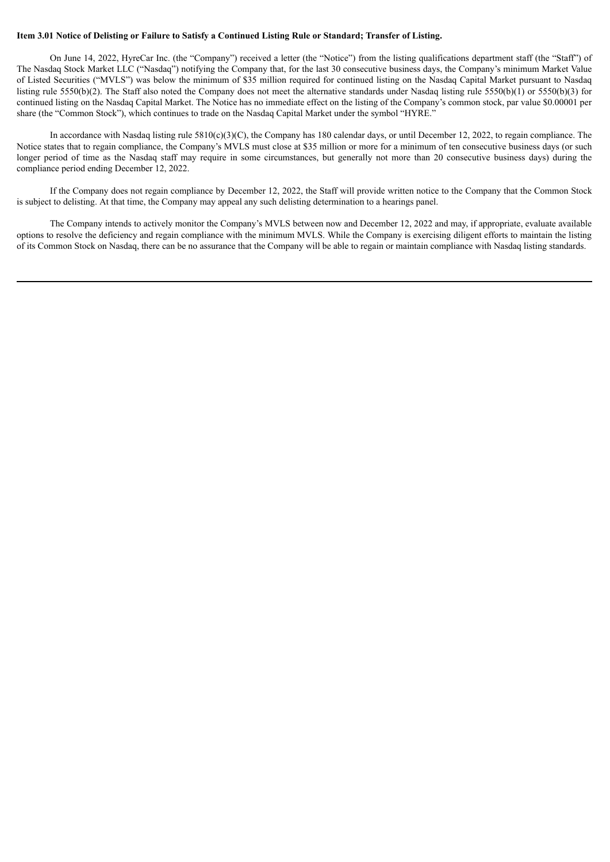#### Item 3.01 Notice of Delisting or Failure to Satisfy a Continued Listing Rule or Standard; Transfer of Listing.

On June 14, 2022, HyreCar Inc. (the "Company") received a letter (the "Notice") from the listing qualifications department staff (the "Staff") of The Nasdaq Stock Market LLC ("Nasdaq") notifying the Company that, for the last 30 consecutive business days, the Company's minimum Market Value of Listed Securities ("MVLS") was below the minimum of \$35 million required for continued listing on the Nasdaq Capital Market pursuant to Nasdaq listing rule 5550(b)(2). The Staff also noted the Company does not meet the alternative standards under Nasdaq listing rule 5550(b)(1) or 5550(b)(3) for continued listing on the Nasdaq Capital Market. The Notice has no immediate effect on the listing of the Company's common stock, par value \$0.00001 per share (the "Common Stock"), which continues to trade on the Nasdaq Capital Market under the symbol "HYRE."

In accordance with Nasdaq listing rule 5810(c)(3)(C), the Company has 180 calendar days, or until December 12, 2022, to regain compliance. The Notice states that to regain compliance, the Company's MVLS must close at \$35 million or more for a minimum of ten consecutive business days (or such longer period of time as the Nasdaq staff may require in some circumstances, but generally not more than 20 consecutive business days) during the compliance period ending December 12, 2022.

If the Company does not regain compliance by December 12, 2022, the Staff will provide written notice to the Company that the Common Stock is subject to delisting. At that time, the Company may appeal any such delisting determination to a hearings panel.

The Company intends to actively monitor the Company's MVLS between now and December 12, 2022 and may, if appropriate, evaluate available options to resolve the deficiency and regain compliance with the minimum MVLS. While the Company is exercising diligent efforts to maintain the listing of its Common Stock on Nasdaq, there can be no assurance that the Company will be able to regain or maintain compliance with Nasdaq listing standards.